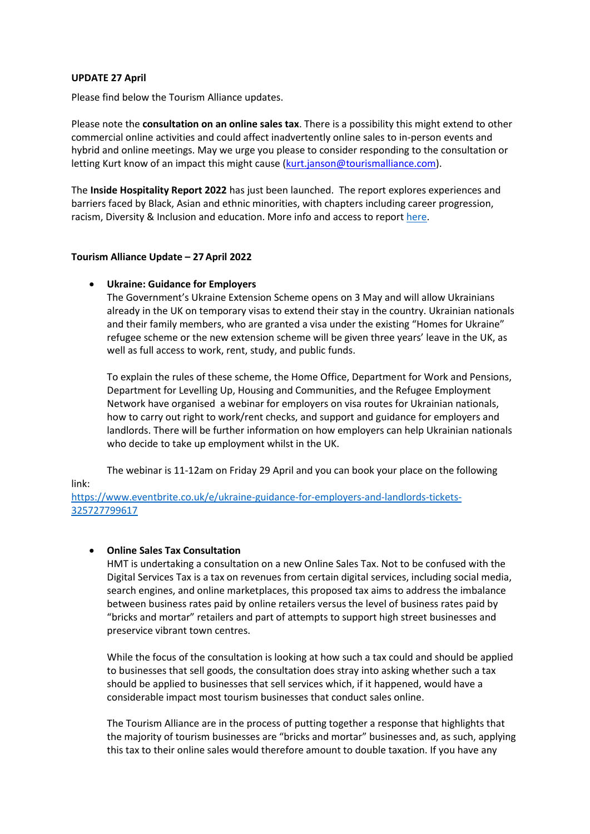## **UPDATE 27 April**

Please find below the Tourism Alliance updates.

Please note the **consultation on an online sales tax**. There is a possibility this might extend to other commercial online activities and could affect inadvertently online sales to in-person events and hybrid and online meetings. May we urge you please to consider responding to the consultation or letting Kurt know of an impact this might cause [\(kurt.janson@tourismalliance.com\)](mailto:kurt.janson@tourismalliance.com).

The **Inside Hospitality Report 2022** has just been launched. The report explores experiences and barriers faced by Black, Asian and ethnic minorities, with chapters including career progression, racism, Diversity & Inclusion and education. More info and access to report [here.](https://www.businessvisitsandeventspartnership.com/research-and-publications/latest-research/1103-inside-hospitality-report-2022)

## **Tourism Alliance Update – 27April 2022**

## **Ukraine: Guidance for Employers**

The Government's Ukraine Extension Scheme opens on 3 May and will allow Ukrainians already in the UK on temporary visas to extend their stay in the country. Ukrainian nationals and their family members, who are granted a visa under the existing "Homes for Ukraine" refugee scheme or the new extension scheme will be given three years' leave in the UK, as well as full access to work, rent, study, and public funds.

To explain the rules of these scheme, the Home Office, Department for Work and Pensions, Department for Levelling Up, Housing and Communities, and the Refugee Employment Network have organised a webinar for employers on visa routes for Ukrainian nationals, how to carry out right to work/rent checks, and support and guidance for employers and landlords. There will be further information on how employers can help Ukrainian nationals who decide to take up employment whilst in the UK.

The webinar is 11-12am on Friday 29 April and you can book your place on the following link:

[https://www.eventbrite.co.uk/e/ukraine-guidance-for-employers-and-landlords-tickets-](https://www.eventbrite.co.uk/e/ukraine-guidance-for-employers-and-landlords-tickets-325727799617)[325727799617](https://www.eventbrite.co.uk/e/ukraine-guidance-for-employers-and-landlords-tickets-325727799617)

## **Online Sales Tax Consultation**

HMT is undertaking a consultation on a new Online Sales Tax. Not to be confused with the Digital Services Tax is a tax on revenues from certain digital services, including social media, search engines, and online marketplaces, this proposed tax aims to address the imbalance between business rates paid by online retailers versus the level of business rates paid by "bricks and mortar" retailers and part of attempts to support high street businesses and preservice vibrant town centres.

While the focus of the consultation is looking at how such a tax could and should be applied to businesses that sell goods, the consultation does stray into asking whether such a tax should be applied to businesses that sell services which, if it happened, would have a considerable impact most tourism businesses that conduct sales online.

The Tourism Alliance are in the process of putting together a response that highlights that the majority of tourism businesses are "bricks and mortar" businesses and, as such, applying this tax to their online sales would therefore amount to double taxation. If you have any